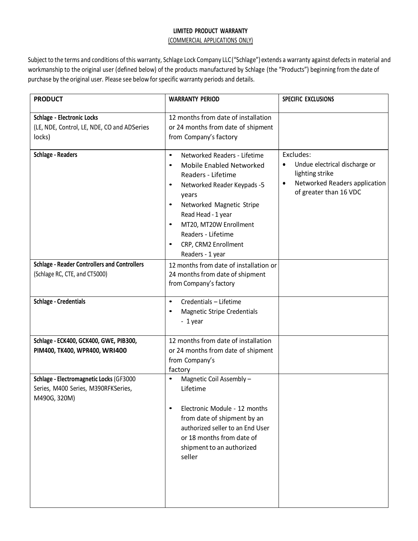# **LIMITED PRODUCT WARRANTY** (COMMERCIAL APPLICATIONS ONLY)

Subject to the terms and conditions of this warranty, Schlage Lock Company LLC("Schlage") extends a warranty against defects in material and workmanship to the original user (defined below) of the products manufactured by Schlage (the "Products") beginning from the date of purchase by the original user. Please see below for specific warranty periods and details.

| <b>PRODUCT</b>                                                                                 | <b>WARRANTY PERIOD</b>                                                                                                                                                                                                                                                                                                                                     | SPECIFIC EXCLUSIONS                                                                                                                |
|------------------------------------------------------------------------------------------------|------------------------------------------------------------------------------------------------------------------------------------------------------------------------------------------------------------------------------------------------------------------------------------------------------------------------------------------------------------|------------------------------------------------------------------------------------------------------------------------------------|
| <b>Schlage - Electronic Locks</b><br>(LE, NDE, Control, LE, NDE, CO and ADSeries<br>locks)     | 12 months from date of installation<br>or 24 months from date of shipment<br>from Company's factory                                                                                                                                                                                                                                                        |                                                                                                                                    |
| <b>Schlage - Readers</b>                                                                       | Networked Readers - Lifetime<br>$\bullet$<br><b>Mobile Enabled Networked</b><br>$\bullet$<br>Readers - Lifetime<br>Networked Reader Keypads -5<br>$\bullet$<br>years<br>Networked Magnetic Stripe<br>$\bullet$<br>Read Head - 1 year<br>MT20, MT20W Enrollment<br>$\bullet$<br>Readers - Lifetime<br>CRP, CRM2 Enrollment<br>$\bullet$<br>Readers - 1 year | Excludes:<br>Undue electrical discharge or<br>٠<br>lighting strike<br>Networked Readers application<br>٠<br>of greater than 16 VDC |
| <b>Schlage - Reader Controllers and Controllers</b><br>(Schlage RC, CTE, and CT5000)           | 12 months from date of installation or<br>24 months from date of shipment<br>from Company's factory                                                                                                                                                                                                                                                        |                                                                                                                                    |
| <b>Schlage - Credentials</b>                                                                   | Credentials - Lifetime<br>$\bullet$<br>Magnetic Stripe Credentials<br>$\bullet$<br>- 1 year                                                                                                                                                                                                                                                                |                                                                                                                                    |
| Schlage - ECK400, GCK400, GWE, PIB300,<br>PIM400, TK400, WPR400, WRI400                        | 12 months from date of installation<br>or 24 months from date of shipment<br>from Company's<br>factory                                                                                                                                                                                                                                                     |                                                                                                                                    |
| Schlage - Electromagnetic Locks (GF3000<br>Series, M400 Series, M390RFKSeries,<br>M490G, 320M) | Magnetic Coil Assembly -<br>$\bullet$<br>Lifetime<br>Electronic Module - 12 months<br>$\bullet$<br>from date of shipment by an<br>authorized seller to an End User<br>or 18 months from date of<br>shipment to an authorized<br>seller                                                                                                                     |                                                                                                                                    |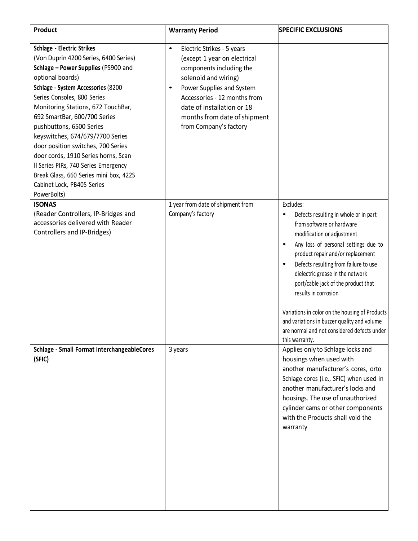| <b>Product</b>                                                                                                                                                                                                                                                                                                                                                                                                                                                                                                                                               | <b>Warranty Period</b>                                                                                                                                                                                                                                                                        | <b>SPECIFIC EXCLUSIONS</b>                                                                                                                                                                                                                                                                                                                                                                                                                                                                                                         |
|--------------------------------------------------------------------------------------------------------------------------------------------------------------------------------------------------------------------------------------------------------------------------------------------------------------------------------------------------------------------------------------------------------------------------------------------------------------------------------------------------------------------------------------------------------------|-----------------------------------------------------------------------------------------------------------------------------------------------------------------------------------------------------------------------------------------------------------------------------------------------|------------------------------------------------------------------------------------------------------------------------------------------------------------------------------------------------------------------------------------------------------------------------------------------------------------------------------------------------------------------------------------------------------------------------------------------------------------------------------------------------------------------------------------|
| <b>Schlage - Electric Strikes</b><br>(Von Duprin 4200 Series, 6400 Series)<br>Schlage - Power Supplies (PS900 and<br>optional boards)<br>Schlage - System Accessories (8200<br>Series Consoles, 800 Series<br>Monitoring Stations, 672 TouchBar,<br>692 SmartBar, 600/700 Series<br>pushbuttons, 6500 Series<br>keyswitches, 674/679/7700 Series<br>door position switches, 700 Series<br>door cords, 1910 Series horns, Scan<br>Il Series PIRs, 740 Series Emergency<br>Break Glass, 660 Series mini box, 422S<br>Cabinet Lock, PB405 Series<br>PowerBolts) | Electric Strikes - 5 years<br>$\bullet$<br>(except 1 year on electrical<br>components including the<br>solenoid and wiring)<br>Power Supplies and System<br>$\bullet$<br>Accessories - 12 months from<br>date of installation or 18<br>months from date of shipment<br>from Company's factory |                                                                                                                                                                                                                                                                                                                                                                                                                                                                                                                                    |
| <b>ISONAS</b><br>(Reader Controllers, IP-Bridges and<br>accessories delivered with Reader<br>Controllers and IP-Bridges)                                                                                                                                                                                                                                                                                                                                                                                                                                     | 1 year from date of shipment from<br>Company's factory                                                                                                                                                                                                                                        | Excludes:<br>Defects resulting in whole or in part<br>$\bullet$<br>from software or hardware<br>modification or adjustment<br>Any loss of personal settings due to<br>product repair and/or replacement<br>Defects resulting from failure to use<br>$\bullet$<br>dielectric grease in the network<br>port/cable jack of the product that<br>results in corrosion<br>Variations in color on the housing of Products<br>and variations in buzzer quality and volume<br>are normal and not considered defects under<br>this warranty. |
| Schlage - Small Format InterchangeableCores<br>(SFIC)                                                                                                                                                                                                                                                                                                                                                                                                                                                                                                        | 3 years                                                                                                                                                                                                                                                                                       | Applies only to Schlage locks and<br>housings when used with<br>another manufacturer's cores, orto<br>Schlage cores (i.e., SFIC) when used in<br>another manufacturer's locks and<br>housings. The use of unauthorized<br>cylinder cams or other components<br>with the Products shall void the<br>warranty                                                                                                                                                                                                                        |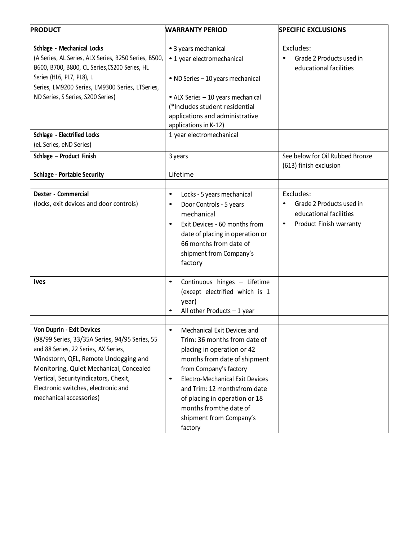| <b>PRODUCT</b>                                                                                                                                                                                                                                                                                                           | <b>WARRANTY PERIOD</b>                                                                                                                                                                                                                                                                                                                      | <b>SPECIFIC EXCLUSIONS</b>                                                                 |
|--------------------------------------------------------------------------------------------------------------------------------------------------------------------------------------------------------------------------------------------------------------------------------------------------------------------------|---------------------------------------------------------------------------------------------------------------------------------------------------------------------------------------------------------------------------------------------------------------------------------------------------------------------------------------------|--------------------------------------------------------------------------------------------|
| <b>Schlage - Mechanical Locks</b><br>(A Series, AL Series, ALX Series, B250 Series, B500,<br>B600, B700, B800, CL Series, CS200 Series, HL<br>Series (HL6, PL7, PL8), L<br>Series, LM9200 Series, LM9300 Series, LTSeries,<br>ND Series, S Series, S200 Series)<br><b>Schlage - Electrified Locks</b>                    | • 3 years mechanical<br>• 1 year electromechanical<br>• ND Series - 10 years mechanical<br>• ALX Series - 10 years mechanical<br>(*Includes student residential<br>applications and administrative<br>applications in K-12)<br>1 year electromechanical                                                                                     | Excludes:<br>Grade 2 Products used in<br>educational facilities                            |
| (eL Series, eND Series)                                                                                                                                                                                                                                                                                                  |                                                                                                                                                                                                                                                                                                                                             |                                                                                            |
| Schlage - Product Finish                                                                                                                                                                                                                                                                                                 | 3 years                                                                                                                                                                                                                                                                                                                                     | See below for Oil Rubbed Bronze<br>(613) finish exclusion                                  |
| <b>Schlage - Portable Security</b>                                                                                                                                                                                                                                                                                       | Lifetime                                                                                                                                                                                                                                                                                                                                    |                                                                                            |
| <b>Dexter - Commercial</b><br>(locks, exit devices and door controls)                                                                                                                                                                                                                                                    | Locks - 5 years mechanical<br>$\bullet$<br>Door Controls - 5 years<br>$\bullet$<br>mechanical<br>Exit Devices - 60 months from<br>$\bullet$<br>date of placing in operation or<br>66 months from date of<br>shipment from Company's<br>factory                                                                                              | Excludes:<br>Grade 2 Products used in<br>educational facilities<br>Product Finish warranty |
| <b>lves</b>                                                                                                                                                                                                                                                                                                              | Continuous hinges - Lifetime<br>$\bullet$<br>(except electrified which is 1<br>year)<br>All other Products $-1$ year                                                                                                                                                                                                                        |                                                                                            |
| <b>Von Duprin - Exit Devices</b><br>(98/99 Series, 33/35A Series, 94/95 Series, 55<br>and 88 Series, 22 Series, AX Series,<br>Windstorm, QEL, Remote Undogging and<br>Monitoring, Quiet Mechanical, Concealed<br>Vertical, SecurityIndicators, Chexit,<br>Electronic switches, electronic and<br>mechanical accessories) | Mechanical Exit Devices and<br>Trim: 36 months from date of<br>placing in operation or 42<br>months from date of shipment<br>from Company's factory<br><b>Electro-Mechanical Exit Devices</b><br>$\bullet$<br>and Trim: 12 monthsfrom date<br>of placing in operation or 18<br>months fromthe date of<br>shipment from Company's<br>factory |                                                                                            |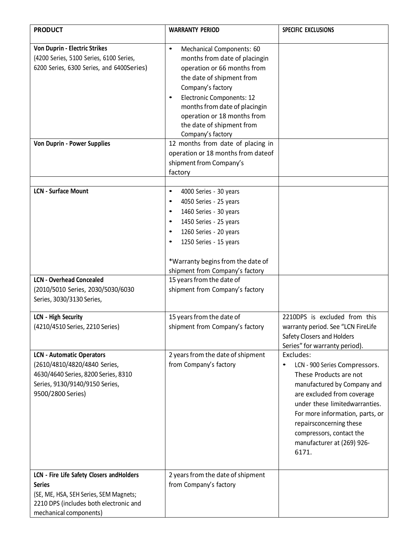| <b>PRODUCT</b>                                                                                                                                                            | <b>WARRANTY PERIOD</b>                                                                                                                                                                                                                                                                                               | SPECIFIC EXCLUSIONS                                                                                                                                                                                                                                                                                               |
|---------------------------------------------------------------------------------------------------------------------------------------------------------------------------|----------------------------------------------------------------------------------------------------------------------------------------------------------------------------------------------------------------------------------------------------------------------------------------------------------------------|-------------------------------------------------------------------------------------------------------------------------------------------------------------------------------------------------------------------------------------------------------------------------------------------------------------------|
| <b>Von Duprin - Electric Strikes</b><br>(4200 Series, 5100 Series, 6100 Series,<br>6200 Series, 6300 Series, and 6400Series)                                              | Mechanical Components: 60<br>$\bullet$<br>months from date of placingin<br>operation or 66 months from<br>the date of shipment from<br>Company's factory<br>Electronic Components: 12<br>$\bullet$<br>months from date of placingin<br>operation or 18 months from<br>the date of shipment from<br>Company's factory |                                                                                                                                                                                                                                                                                                                   |
| <b>Von Duprin - Power Supplies</b>                                                                                                                                        | 12 months from date of placing in<br>operation or 18 months from dateof<br>shipment from Company's<br>factory                                                                                                                                                                                                        |                                                                                                                                                                                                                                                                                                                   |
| <b>LCN - Surface Mount</b>                                                                                                                                                | 4000 Series - 30 years<br>$\bullet$<br>4050 Series - 25 years<br>$\bullet$<br>1460 Series - 30 years<br>$\bullet$<br>1450 Series - 25 years<br>$\bullet$<br>1260 Series - 20 years<br>٠<br>1250 Series - 15 years<br>*Warranty begins from the date of<br>shipment from Company's factory                            |                                                                                                                                                                                                                                                                                                                   |
| <b>LCN - Overhead Concealed</b><br>(2010/5010 Series, 2030/5030/6030<br>Series, 3030/3130 Series,                                                                         | 15 years from the date of<br>shipment from Company's factory                                                                                                                                                                                                                                                         |                                                                                                                                                                                                                                                                                                                   |
| <b>LCN - High Security</b><br>(4210/4510 Series, 2210 Series)                                                                                                             | 15 years from the date of<br>shipment from Company's factory                                                                                                                                                                                                                                                         | 2210DPS is excluded from this<br>warranty period. See "LCN FireLife<br>Safety Closers and Holders<br>Series" for warranty period).                                                                                                                                                                                |
| <b>LCN - Automatic Operators</b><br>(2610/4810/4820/4840 Series,<br>4630/4640 Series, 8200 Series, 8310<br>Series, 9130/9140/9150 Series,<br>9500/2800 Series)            | 2 years from the date of shipment<br>from Company's factory                                                                                                                                                                                                                                                          | Excludes:<br>LCN - 900 Series Compressors.<br>$\bullet$<br>These Products are not<br>manufactured by Company and<br>are excluded from coverage<br>under these limitedwarranties.<br>For more information, parts, or<br>repairsconcerning these<br>compressors, contact the<br>manufacturer at (269) 926-<br>6171. |
| LCN - Fire Life Safety Closers and Holders<br><b>Series</b><br>(SE, ME, HSA, SEH Series, SEM Magnets;<br>2210 DPS (includes both electronic and<br>mechanical components) | 2 years from the date of shipment<br>from Company's factory                                                                                                                                                                                                                                                          |                                                                                                                                                                                                                                                                                                                   |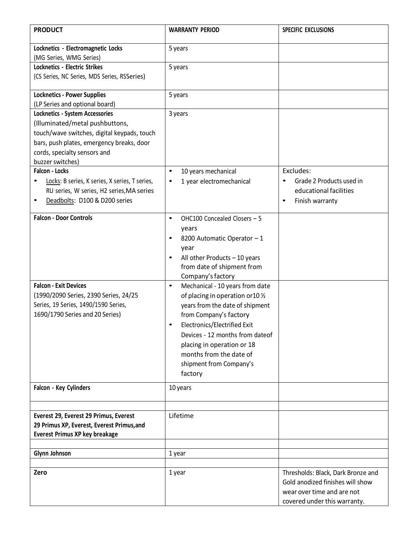| <b>PRODUCT</b>                                                                                                                                                                                                            | <b>WARRANTY PERIOD</b>                                                                                                                                                                                                                                                                                                        | SPECIFIC EXCLUSIONS                                                                                                                  |
|---------------------------------------------------------------------------------------------------------------------------------------------------------------------------------------------------------------------------|-------------------------------------------------------------------------------------------------------------------------------------------------------------------------------------------------------------------------------------------------------------------------------------------------------------------------------|--------------------------------------------------------------------------------------------------------------------------------------|
| Locknetics - Electromagnetic Locks<br>(MG Series, WMG Series)                                                                                                                                                             | 5 years                                                                                                                                                                                                                                                                                                                       |                                                                                                                                      |
| Locknetics - Electric Strikes<br>(CS Series, NC Series, MDS Series, RSSeries)                                                                                                                                             | 5 years                                                                                                                                                                                                                                                                                                                       |                                                                                                                                      |
| <b>Locknetics - Power Supplies</b><br>(LP Series and optional board)                                                                                                                                                      | 5 years                                                                                                                                                                                                                                                                                                                       |                                                                                                                                      |
| <b>Locknetics - System Accessories</b><br>(Illuminated/metal pushbuttons,<br>touch/wave switches, digital keypads, touch<br>bars, push plates, emergency breaks, door<br>cords, specialty sensors and<br>buzzer switches) | 3 years                                                                                                                                                                                                                                                                                                                       |                                                                                                                                      |
| Falcon - Locks<br>Locks: B series, K series, X series, T series,<br>RU series, W series, H2 series, MA series<br>Deadbolts: D100 & D200 series<br>$\bullet$                                                               | 10 years mechanical<br>$\bullet$<br>1 year electromechanical<br>$\bullet$                                                                                                                                                                                                                                                     | Excludes:<br>Grade 2 Products used in<br>educational facilities<br>Finish warranty                                                   |
| <b>Falcon - Door Controls</b>                                                                                                                                                                                             | OHC100 Concealed Closers - 5<br>$\bullet$<br>years<br>8200 Automatic Operator - 1<br>٠<br>year<br>All other Products - 10 years<br>from date of shipment from<br>Company's factory                                                                                                                                            |                                                                                                                                      |
| <b>Falcon - Exit Devices</b><br>(1990/2090 Series, 2390 Series, 24/25<br>Series, 19 Series, 1490/1590 Series,<br>1690/1790 Series and 20 Series)                                                                          | Mechanical - 10 years from date<br>$\bullet$<br>of placing in operation or 10 1/2<br>years from the date of shipment<br>from Company's factory<br>Electronics/Electrified Exit<br>$\bullet$<br>Devices - 12 months from dateof<br>placing in operation or 18<br>months from the date of<br>shipment from Company's<br>factory |                                                                                                                                      |
| Falcon - Key Cylinders                                                                                                                                                                                                    | 10 years                                                                                                                                                                                                                                                                                                                      |                                                                                                                                      |
| Everest 29, Everest 29 Primus, Everest<br>29 Primus XP, Everest, Everest Primus, and<br><b>Everest Primus XP key breakage</b>                                                                                             | Lifetime                                                                                                                                                                                                                                                                                                                      |                                                                                                                                      |
| Glynn Johnson                                                                                                                                                                                                             | 1 year                                                                                                                                                                                                                                                                                                                        |                                                                                                                                      |
| Zero                                                                                                                                                                                                                      | 1 year                                                                                                                                                                                                                                                                                                                        | Thresholds: Black, Dark Bronze and<br>Gold anodized finishes will show<br>wear over time and are not<br>covered under this warranty. |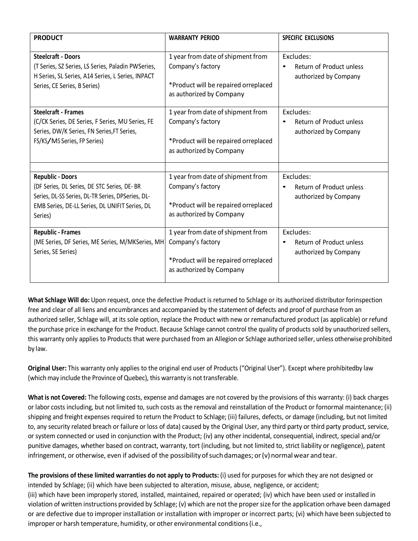| <b>PRODUCT</b>                                                                                                                                                                            | <b>WARRANTY PERIOD</b>                                                                                                     | <b>SPECIFIC EXCLUSIONS</b>                                     |
|-------------------------------------------------------------------------------------------------------------------------------------------------------------------------------------------|----------------------------------------------------------------------------------------------------------------------------|----------------------------------------------------------------|
| <b>Steelcraft - Doors</b><br>(T Series, SZ Series, LS Series, Paladin PWSeries,<br>H Series, SL Series, A14 Series, L Series, INPACT<br>Series, CE Series, B Series)                      | 1 year from date of shipment from<br>Company's factory<br>*Product will be repaired orreplaced<br>as authorized by Company | Excludes:<br>Return of Product unless<br>authorized by Company |
| <b>Steelcraft - Frames</b><br>(C/CK Series, DE Series, F Series, MU Series, FE<br>Series, DW/K Series, FN Series, FT Series,<br>FS/KS/MS Series, FP Series)                               | 1 year from date of shipment from<br>Company's factory<br>*Product will be repaired orreplaced<br>as authorized by Company | Excludes:<br>Return of Product unless<br>authorized by Company |
|                                                                                                                                                                                           |                                                                                                                            |                                                                |
| <b>Republic - Doors</b><br>(DF Series, DL Series, DE STC Series, DE- BR<br>Series, DL-SS Series, DL-TR Series, DPSeries, DL-<br>EMB Series, DE-LL Series, DL UNIFIT Series, DL<br>Series) | 1 year from date of shipment from<br>Company's factory<br>*Product will be repaired orreplaced<br>as authorized by Company | Excludes:<br>Return of Product unless<br>authorized by Company |
| <b>Republic - Frames</b><br>(ME Series, DF Series, ME Series, M/MKSeries, MH<br>Series, SE Series)                                                                                        | 1 year from date of shipment from<br>Company's factory<br>*Product will be repaired orreplaced<br>as authorized by Company | Excludes:<br>Return of Product unless<br>authorized by Company |

**What Schlage Will do:** Upon request, once the defective Product is returned to Schlage or its authorized distributor forinspection free and clear of all liens and encumbrances and accompanied by the statement of defects and proof of purchase from an authorized seller, Schlage will, at its sole option, replace the Product with new or remanufactured product (as applicable) or refund the purchase price in exchange for the Product. Because Schlage cannot control the quality of products sold by unauthorized sellers, this warranty only applies to Products that were purchased from an Allegion or Schlage authorized seller, unless otherwise prohibited by law.

**Original User:** This warranty only applies to the original end user of Products ("Original User"). Except where prohibitedby law (which may include the Province of Quebec), this warranty is not transferable.

**What is not Covered:** The following costs, expense and damages are not covered by the provisions of this warranty: (i) back charges or labor costs including, but not limited to, such costs as the removal and reinstallation of the Product or fornormal maintenance; (ii) shipping and freight expenses required to return the Product to Schlage; (iii) failures, defects, or damage (including, but not limited to, any security related breach or failure or loss of data) caused by the Original User, any third party or third party product, service, or system connected or used in conjunction with the Product; (iv) any other incidental, consequential, indirect, special and/or punitive damages, whether based on contract, warranty, tort (including, but not limited to, strict liability or negligence), patent infringement, or otherwise, even if advised of the possibility of such damages; or (v) normal wear and tear.

**The provisions of these limited warranties do not apply to Products:** (i) used for purposes for which they are not designed or intended by Schlage; (ii) which have been subjected to alteration, misuse, abuse, negligence, or accident; (iii) which have been improperly stored, installed, maintained, repaired or operated; (iv) which have been used or installed in violation of written instructions provided by Schlage; (v) which are not the propersize for the application orhave been damaged or are defective due to improper installation or installation with improper or incorrect parts; (vi) which have been subjected to improper or harsh temperature, humidity, or other environmental conditions (i.e.,